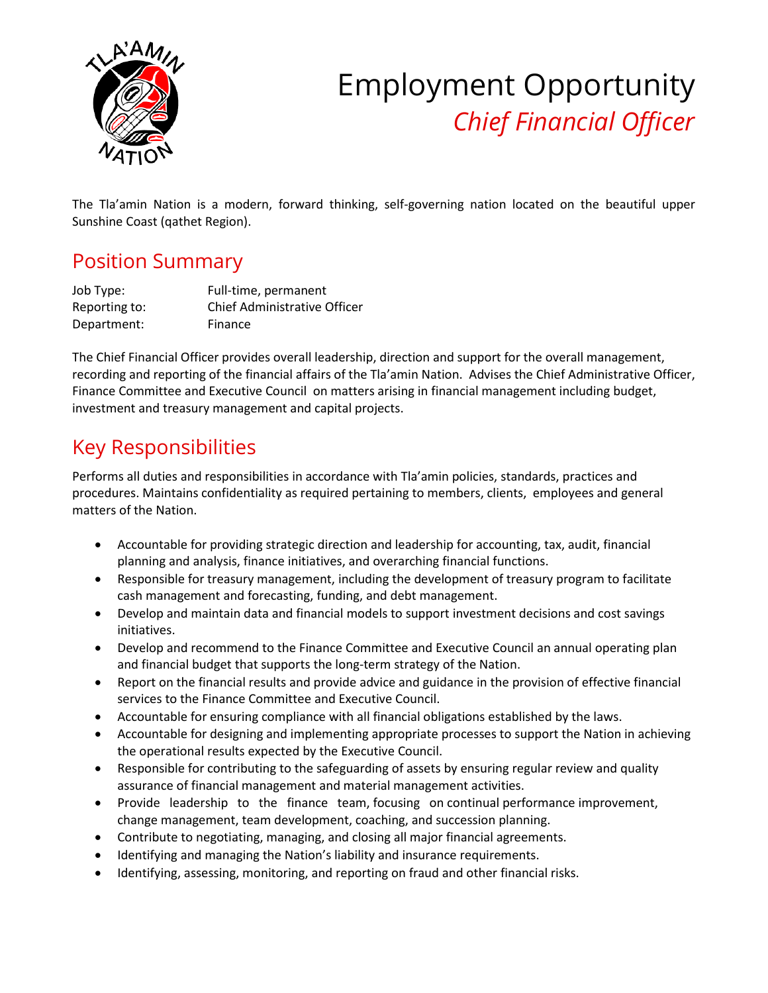

# Employment Opportunity *Chief Financial Officer*

The Tla'amin Nation is a modern, forward thinking, self-governing nation located on the beautiful upper Sunshine Coast (qathet Region).

### Position Summary

| Job Type:     | Full-time, permanent         |
|---------------|------------------------------|
| Reporting to: | Chief Administrative Officer |
| Department:   | Finance                      |

The Chief Financial Officer provides overall leadership, direction and support for the overall management, recording and reporting of the financial affairs of the Tla'amin Nation. Advises the Chief Administrative Officer, Finance Committee and Executive Council on matters arising in financial management including budget, investment and treasury management and capital projects.

## Key Responsibilities

Performs all duties and responsibilities in accordance with Tla'amin policies, standards, practices and procedures. Maintains confidentiality as required pertaining to members, clients, employees and general matters of the Nation.

- Accountable for providing strategic direction and leadership for accounting, tax, audit, financial planning and analysis, finance initiatives, and overarching financial functions.
- Responsible for treasury management, including the development of treasury program to facilitate cash management and forecasting, funding, and debt management.
- Develop and maintain data and financial models to support investment decisions and cost savings initiatives.
- Develop and recommend to the Finance Committee and Executive Council an annual operating plan and financial budget that supports the long-term strategy of the Nation.
- Report on the financial results and provide advice and guidance in the provision of effective financial services to the Finance Committee and Executive Council.
- Accountable for ensuring compliance with all financial obligations established by the laws.
- Accountable for designing and implementing appropriate processes to support the Nation in achieving the operational results expected by the Executive Council.
- Responsible for contributing to the safeguarding of assets by ensuring regular review and quality assurance of financial management and material management activities.
- Provide leadership to the finance team, focusing on continual performance improvement, change management, team development, coaching, and succession planning.
- Contribute to negotiating, managing, and closing all major financial agreements.
- Identifying and managing the Nation's liability and insurance requirements.
- Identifying, assessing, monitoring, and reporting on fraud and other financial risks.